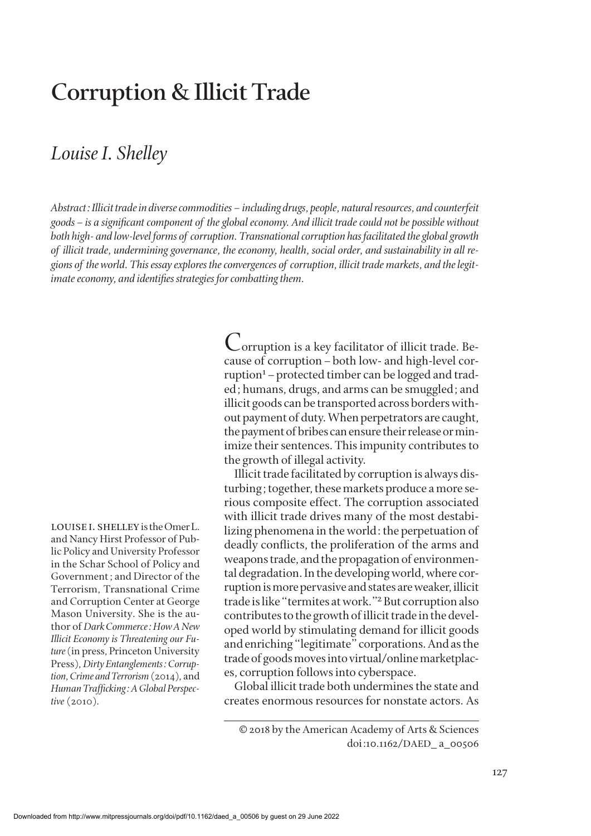# **Corruption & Illicit Trade**

### *Louise I. Shelley*

*Abstract: Illicit trade in diverse commodities–including drugs, people, natural resources, and counterfeit goods–is a significant component of the global economy. And illicit trade could not be possible without both high- and low-level forms of corruption. Transnational corruption has facilitated the global growth of illicit trade, undermining governance, the economy, health, social order, and sustainability in all regions of the world. This essay explores the convergences of corruption, illicit trade markets, and the legitimate economy, and identifies strategies for combatting them.* 

> Corruption is a key facilitator of illicit trade. Because of corruption–both low- and high-level corruption<sup>1</sup> – protected timber can be logged and traded; humans, drugs, and arms can be smuggled; and illicit goods can be transported across borders without payment of duty. When perpetrators are caught, the payment of bribes can ensure their release or minimize their sentences. This impunity contributes to the growth of illegal activity.

> Illicit trade facilitated by corruption is always disturbing; together, these markets produce a more serious composite effect. The corruption associated with illicit trade drives many of the most destabilizing phenomena in the world: the perpetuation of deadly conflicts, the proliferation of the arms and weapons trade, and the propagation of environmental degradation. In the developing world, where corruption is more pervasive and states are weaker, illicit trade is like "termites at work."2 But corruption also contributes to the growth of illicit trade in the developed world by stimulating demand for illicit goods and enriching "legitimate" corporations. And as the trade of goods moves into virtual/online marketplaces, corruption follows into cyberspace.

> Global illicit trade both undermines the state and creates enormous resources for nonstate actors. As

louise i. shelley is the Omer L. and Nancy Hirst Professor of Public Policy and University Professor in the Schar School of Policy and Government; and Director of the Terrorism, Transnational Crime and Corruption Center at George Mason University. She is the author of *Dark Commerce: How A New Illicit Economy is Threatening our Future* (in press, Princeton University Press), *Dirty Entanglements: Corruption, Crime and Terrorism* (2014), and *Human Trafficking: A Global Perspective* (2010).

<sup>© 2018</sup> by the American Academy of Arts & Sciences doi:10.1162/DAED\_ a\_00506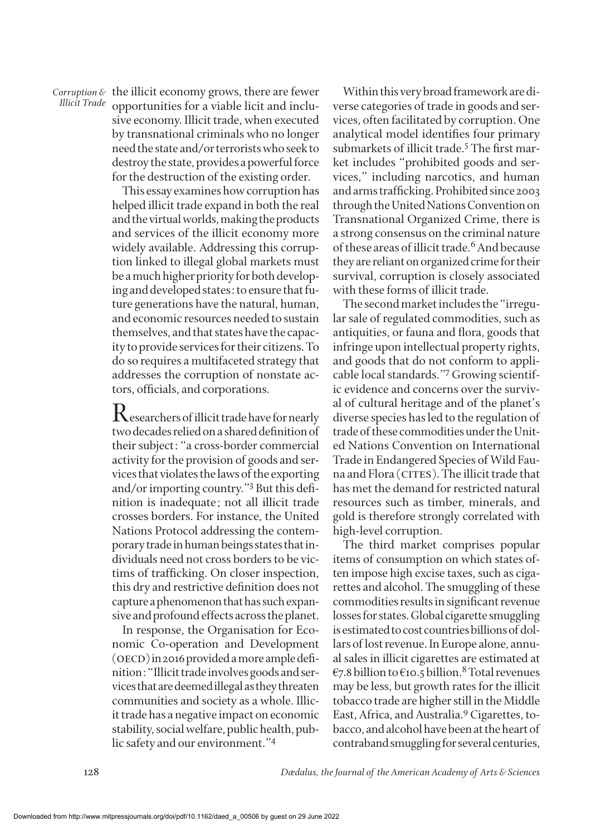*Corruption &* the illicit economy grows, there are fewer *IIIicit Trade* opportunities for a viable licit and inclu-<br>I*IIicit Trade* opportunities for a viable licit and inclusive economy. Illicit trade, when executed by transnational criminals who no longer need the state and/or terrorists who seek to destroy the state, provides a powerful force for the destruction of the existing order*.*

> This essay examines how corruption has helped illicit trade expand in both the real and the virtual worlds, making the products and services of the illicit economy more widely available. Addressing this corruption linked to illegal global markets must be a much higher priority for both developing and developed states: to ensure that future generations have the natural, human, and economic resources needed to sustain themselves, and that states have the capacity to provide services for their citizens. To do so requires a multifaceted strategy that addresses the corruption of nonstate actors, officials, and corporations.

> $\rm R$  esearchers of illicit trade have for nearly two decades relied on a shared definition of their subject: "a cross-border commercial activity for the provision of goods and services that violates the laws of the exporting and/or importing country."3 But this definition is inadequate; not all illicit trade crosses borders. For instance, the United Nations Protocol addressing the contemporary trade in human beings states that individuals need not cross borders to be victims of trafficking. On closer inspection, this dry and restrictive definition does not capture a phenomenon that has such expansive and profound effects across the planet.

> In response, the Organisation for Economic Co-operation and Development (OECD) in 2016 provided a more ample definition: "Illicit trade involves goods and services that are deemed illegal as they threaten communities and society as a whole. Illicit trade has a negative impact on economic stability, social welfare, public health, public safety and our environment."4

Within this very broad framework are diverse categories of trade in goods and services, often facilitated by corruption. One analytical model identifies four primary submarkets of illicit trade.<sup>5</sup> The first market includes "prohibited goods and services," including narcotics, and human and arms trafficking. Prohibited since 2003 through the United Nations Convention on Transnational Organized Crime, there is a strong consensus on the criminal nature of these areas of illicit trade.<sup>6</sup> And because they are reliant on organized crime for their survival, corruption is closely associated with these forms of illicit trade.

The second market includes the "irregular sale of regulated commodities, such as antiquities, or fauna and flora, goods that infringe upon intellectual property rights, and goods that do not conform to applicable local standards."7 Growing scientific evidence and concerns over the survival of cultural heritage and of the planet's diverse species has led to the regulation of trade of these commodities under the United Nations Convention on International Trade in Endangered Species of Wild Fauna and Flora (CITES). The illicit trade that has met the demand for restricted natural resources such as timber, minerals, and gold is therefore strongly correlated with high-level corruption.

The third market comprises popular items of consumption on which states often impose high excise taxes, such as cigarettes and alcohol. The smuggling of these commodities results in significant revenue losses for states. Global cigarette smuggling is estimated to cost countries billions of dollars of lost revenue. In Europe alone, annual sales in illicit cigarettes are estimated at  $\epsilon$ 7.8 billion to  $\epsilon$ 10.5 billion.<sup>8</sup> Total revenues may be less, but growth rates for the illicit tobacco trade are higher still in the Middle East, Africa, and Australia.9 Cigarettes, tobacco, and alcohol have been at the heart of contraband smuggling for several centuries,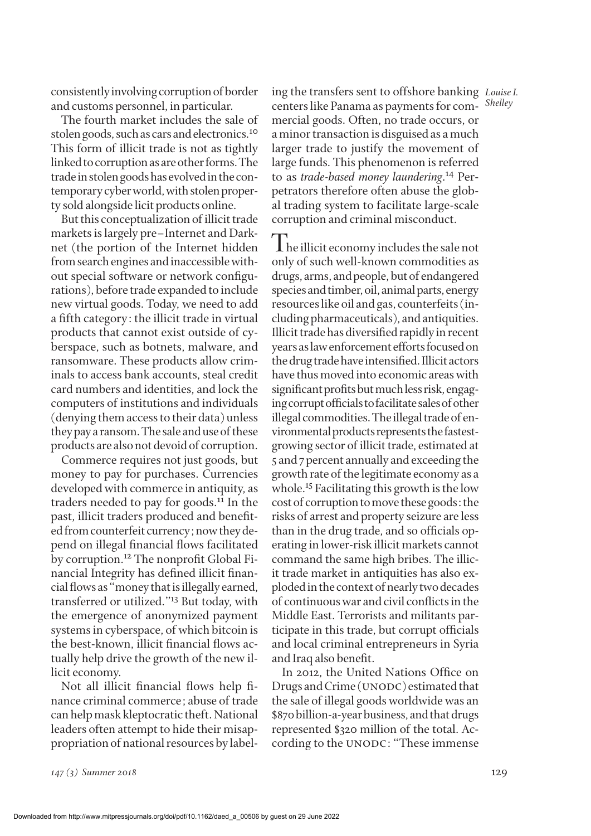consistently involving corruption of border and customs personnel, in particular.

The fourth market includes the sale of stolen goods, such as cars and electronics.<sup>10</sup> This form of illicit trade is not as tightly linked to corruption as are other forms. The trade in stolen goods has evolved in the contemporary cyber world, with stolen property sold alongside licit products online.

But this conceptualization of illicit trade markets is largely pre–Internet and Darknet (the portion of the Internet hidden from search engines and inaccessible without special software or network configurations), before trade expanded to include new virtual goods. Today, we need to add a fifth category: the illicit trade in virtual products that cannot exist outside of cyberspace, such as botnets, malware, and ransomware. These products allow criminals to access bank accounts, steal credit card numbers and identities, and lock the computers of institutions and individuals (denying them access to their data) unless they pay a ransom. The sale and use of these products are also not devoid of corruption.

Commerce requires not just goods, but money to pay for purchases. Currencies developed with commerce in antiquity, as traders needed to pay for goods.<sup>11</sup> In the past, illicit traders produced and benefited from counterfeit currency; now they depend on illegal financial flows facilitated by corruption.<sup>12</sup> The nonprofit Global Financial Integrity has defined illicit financial flows as "money that is illegally earned, transferred or utilized."13 But today, with the emergence of anonymized payment systems in cyberspace, of which bitcoin is the best-known, illicit financial flows actually help drive the growth of the new illicit economy.

Not all illicit financial flows help finance criminal commerce; abuse of trade can help mask kleptocratic theft. National leaders often attempt to hide their misappropriation of national resources by label-

*Louise I.* ing the transfers sent to offshore banking centers like Panama as payments for commercial goods. Often, no trade occurs, or a minor transaction is disguised as a much larger trade to justify the movement of large funds. This phenomenon is referred to as *trade-based money laundering*. 14 Perpetrators therefore often abuse the global trading system to facilitate large-scale corruption and criminal misconduct.

*Shelley*

The illicit economy includes the sale not only of such well-known commodities as drugs, arms, and people, but of endangered species and timber, oil, animal parts, energy resources like oil and gas, counterfeits (including pharmaceuticals), and antiquities. Illicit trade has diversified rapidly in recent years as law enforcement efforts focused on the drug trade have intensified. Illicit actors have thus moved into economic areas with significant profits but much less risk, engaging corrupt officials to facilitate sales of other illegal commodities. The illegal trade of environmental products represents the fastestgrowing sector of illicit trade, estimated at 5 and 7 percent annually and exceeding the growth rate of the legitimate economy as a whole.<sup>15</sup> Facilitating this growth is the low cost of corruption to move these goods: the risks of arrest and property seizure are less than in the drug trade, and so officials operating in lower-risk illicit markets cannot command the same high bribes. The illicit trade market in antiquities has also exploded in the context of nearly two decades of continuous war and civil conflicts in the Middle East. Terrorists and militants participate in this trade, but corrupt officials and local criminal entrepreneurs in Syria and Iraq also benefit.

In 2012, the United Nations Office on Drugs and Crime (UNODC) estimated that the sale of illegal goods worldwide was an \$870 billion-a-year business, and that drugs represented \$320 million of the total. According to the UNODC: "These immense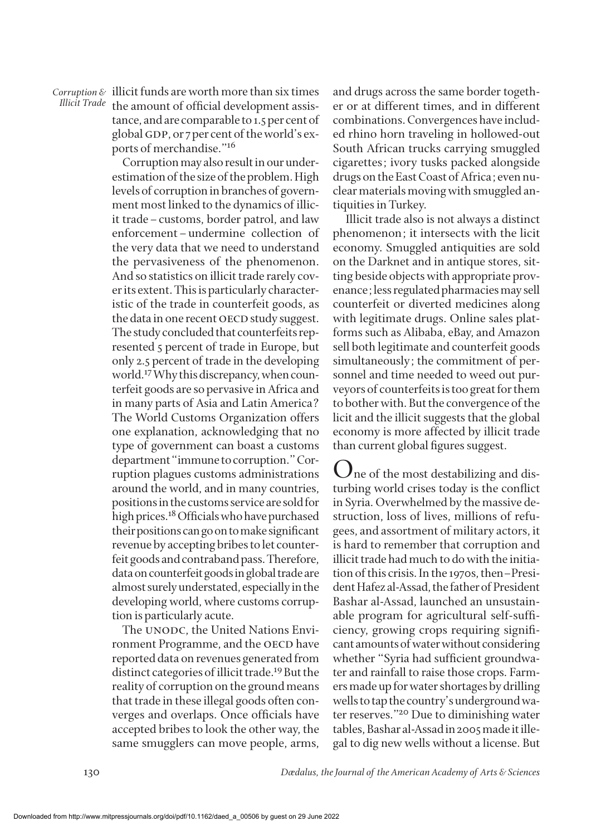*Corruption &* illicit funds are worth more than six times *Illicit Trade* the amount of official development assistance, and are comparable to 1.5 per cent of global GDP, or 7 per cent of the world's exports of merchandise."16

> Corruption may also result in our underestimation of the size of the problem. High levels of corruption in branches of government most linked to the dynamics of illicit trade–customs, border patrol, and law enforcement–undermine collection of the very data that we need to understand the pervasiveness of the phenomenon. And so statistics on illicit trade rarely cover its extent. This is particularly characteristic of the trade in counterfeit goods, as the data in one recent OECD study suggest. The study concluded that counterfeits represented 5 percent of trade in Europe, but only 2.5 percent of trade in the developing world.17 Why this discrepancy, when counterfeit goods are so pervasive in Africa and in many parts of Asia and Latin America? The World Customs Organization offers one explanation, acknowledging that no type of government can boast a customs department "immune to corruption." Corruption plagues customs administrations around the world, and in many countries, positions in the customs service are sold for high prices.<sup>18</sup> Officials who have purchased their positions can go on to make significant revenue by accepting bribes to let counterfeit goods and contraband pass. Therefore, data on counterfeit goods in global trade are almost surely understated, especially in the developing world, where customs corruption is particularly acute.

> The UNODC, the United Nations Environment Programme, and the OECD have reported data on revenues generated from distinct categories of illicit trade.19 But the reality of corruption on the ground means that trade in these illegal goods often converges and overlaps. Once officials have accepted bribes to look the other way, the same smugglers can move people, arms,

and drugs across the same border together or at different times, and in different combinations. Convergences have included rhino horn traveling in hollowed-out South African trucks carrying smuggled cigarettes; ivory tusks packed alongside drugs on the East Coast of Africa; even nuclear materials moving with smuggled antiquities in Turkey.

 Illicit trade also is not always a distinct phenomenon; it intersects with the licit economy. Smuggled antiquities are sold on the Darknet and in antique stores, sitting beside objects with appropriate provenance; less regulated pharmacies may sell counterfeit or diverted medicines along with legitimate drugs. Online sales platforms such as Alibaba, eBay, and Amazon sell both legitimate and counterfeit goods simultaneously; the commitment of personnel and time needed to weed out purveyors of counterfeits is too great for them to bother with. But the convergence of the licit and the illicit suggests that the global economy is more affected by illicit trade than current global figures suggest.

**I** ne of the most destabilizing and disturbing world crises today is the conflict in Syria. Overwhelmed by the massive destruction, loss of lives, millions of refugees, and assortment of military actors, it is hard to remember that corruption and illicit trade had much to do with the initiation of this crisis. In the 1970s, then–President Hafez al-Assad, the father of President Bashar al-Assad, launched an unsustainable program for agricultural self-sufficiency, growing crops requiring significant amounts of water without considering whether "Syria had sufficient groundwater and rainfall to raise those crops. Farmers made up for water shortages by drilling wells to tap the country's underground water reserves."20 Due to diminishing water tables, Bashar al-Assad in 2005 made it illegal to dig new wells without a license. But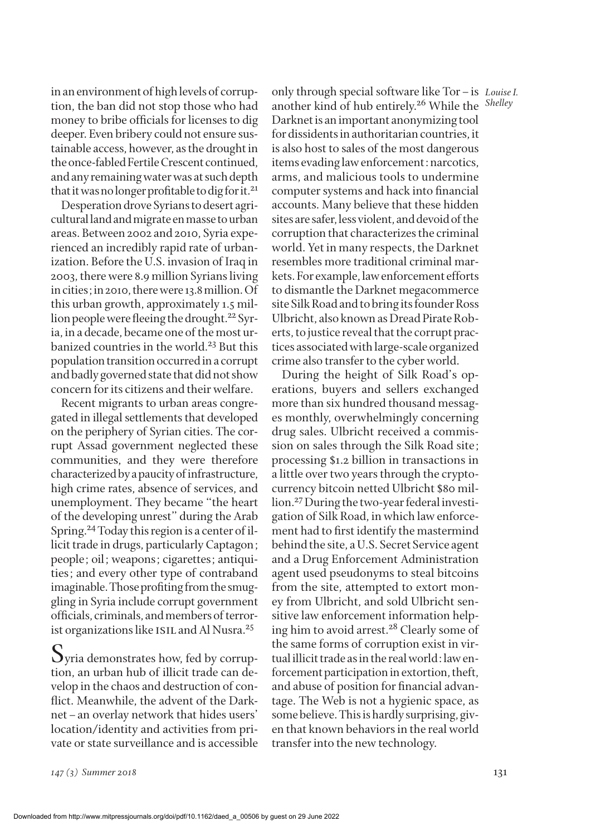in an environment of high levels of corruption, the ban did not stop those who had money to bribe officials for licenses to dig deeper. Even bribery could not ensure sustainable access, however, as the drought in the once-fabled Fertile Crescent continued, and any remaining water was at such depth that it was no longer profitable to dig for it.<sup>21</sup>

Desperation drove Syrians to desert agricultural land and migrate en masse to urban areas. Between 2002 and 2010, Syria experienced an incredibly rapid rate of urbanization. Before the U.S. invasion of Iraq in 2003, there were 8.9 million Syrians living in cities; in 2010, there were 13.8 million. Of this urban growth, approximately 1.5 million people were fleeing the drought.<sup>22</sup> Syria, in a decade, became one of the most urbanized countries in the world.<sup>23</sup> But this population transition occurred in a corrupt and badly governed state that did not show concern for its citizens and their welfare.

Recent migrants to urban areas congregated in illegal settlements that developed on the periphery of Syrian cities. The corrupt Assad government neglected these communities, and they were therefore characterized by a paucity of infrastructure, high crime rates, absence of services, and unemployment. They became "the heart of the developing unrest" during the Arab Spring.24 Today this region is a center of illicit trade in drugs, particularly Captagon; people; oil; weapons; cigarettes; antiquities; and every other type of contraband imaginable. Those profiting from the smuggling in Syria include corrupt government officials, criminals, and members of terrorist organizations like ISIL and Al Nusra.<sup>25</sup>

 $\mathbf{\mathcal{O}}$ yria demonstrates how, fed by corruption, an urban hub of illicit trade can develop in the chaos and destruction of conflict. Meanwhile, the advent of the Darknet–an overlay network that hides users' location/identity and activities from private or state surveillance and is accessible

only through special software like Tor-is Louise I. another kind of hub entirely.<sup>26</sup> While the Shelley Darknet is an important anonymizing tool for dissidents in authoritarian countries, it is also host to sales of the most dangerous items evading law enforcement: narcotics, arms, and malicious tools to undermine computer systems and hack into financial accounts. Many believe that these hidden sites are safer, less violent, and devoid of the corruption that characterizes the criminal world. Yet in many respects, the Darknet resembles more traditional criminal markets. For example, law enforcement efforts to dismantle the Darknet megacommerce site Silk Road and to bring its founder Ross Ulbricht, also known as Dread Pirate Roberts, to justice reveal that the corrupt practices associated with large-scale organized crime also transfer to the cyber world.

During the height of Silk Road's operations, buyers and sellers exchanged more than six hundred thousand messages monthly, overwhelmingly concerning drug sales. Ulbricht received a commission on sales through the Silk Road site; processing \$1.2 billion in transactions in a little over two years through the cryptocurrency bitcoin netted Ulbricht \$80 million.27 During the two-year federal investigation of Silk Road, in which law enforcement had to first identify the mastermind behind the site, a U.S. Secret Service agent and a Drug Enforcement Administration agent used pseudonyms to steal bitcoins from the site, attempted to extort money from Ulbricht, and sold Ulbricht sensitive law enforcement information helping him to avoid arrest.<sup>28</sup> Clearly some of the same forms of corruption exist in virtual illicit trade as in the real world: law enforcement participation in extortion, theft, and abuse of position for financial advantage. The Web is not a hygienic space, as some believe. This is hardly surprising, given that known behaviors in the real world transfer into the new technology.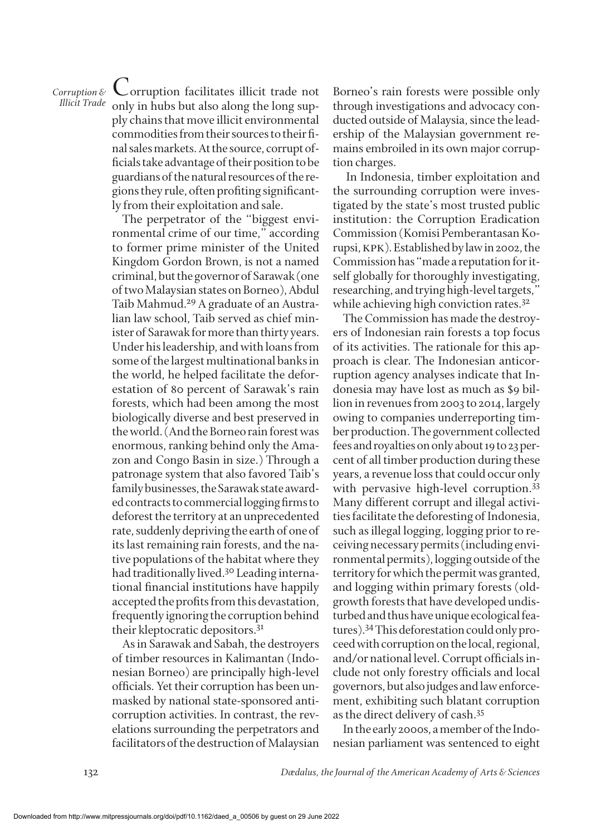## *Corruption &*

*Illicit Trade* only in hubs but also along the long sup-Corruption facilitates illicit trade not ply chains that move illicit environmental commodities from their sources to their final sales markets. At the source, corrupt officials take advantage of their position to be guardians of the natural resources of the regions they rule, often profiting significantly from their exploitation and sale.

> The perpetrator of the "biggest environmental crime of our time," according to former prime minister of the United Kingdom Gordon Brown, is not a named criminal, but the governor of Sarawak (one of two Malaysian states on Borneo), Abdul Taib Mahmud.<sup>29</sup> A graduate of an Australian law school, Taib served as chief minister of Sarawak for more than thirty years. Under his leadership, and with loans from some of the largest multinational banks in the world, he helped facilitate the deforestation of 80 percent of Sarawak's rain forests, which had been among the most biologically diverse and best preserved in the world. (And the Borneo rain forest was enormous, ranking behind only the Amazon and Congo Basin in size.) Through a patronage system that also favored Taib's family businesses, the Sarawak state awarded contracts to commercial logging firms to deforest the territory at an unprecedented rate, suddenly depriving the earth of one of its last remaining rain forests, and the native populations of the habitat where they had traditionally lived.<sup>30</sup> Leading international financial institutions have happily accepted the profits from this devastation, frequently ignoring the corruption behind their kleptocratic depositors.31

> As in Sarawak and Sabah, the destroyers of timber resources in Kalimantan (Indonesian Borneo) are principally high-level officials. Yet their corruption has been unmasked by national state-sponsored anticorruption activities. In contrast, the revelations surrounding the perpetrators and facilitators of the destruction of Malaysian

Borneo's rain forests were possible only through investigations and advocacy conducted outside of Malaysia, since the leadership of the Malaysian government remains embroiled in its own major corruption charges.

 In Indonesia, timber exploitation and the surrounding corruption were investigated by the state's most trusted public institution: the Corruption Eradication Commission (Komisi Pemberantasan Korupsi, kpk). Established by law in 2002, the Commission has "made a reputation for itself globally for thoroughly investigating, researching, and trying high-level targets," while achieving high conviction rates.<sup>32</sup>

The Commission has made the destroyers of Indonesian rain forests a top focus of its activities. The rationale for this approach is clear. The Indonesian anticorruption agency analyses indicate that Indonesia may have lost as much as \$9 billion in revenues from 2003 to 2014, largely owing to companies underreporting timber production. The government collected fees and royalties on only about 19 to 23 percent of all timber production during these years, a revenue loss that could occur only with pervasive high-level corruption.<sup>33</sup> Many different corrupt and illegal activities facilitate the deforesting of Indonesia, such as illegal logging, logging prior to receiving necessary permits (including environmental permits), logging outside of the territory for which the permit was granted, and logging within primary forests (oldgrowth forests that have developed undisturbed and thus have unique ecological features).34 This deforestation could only proceed with corruption on the local, regional, and/or national level. Corrupt officials include not only forestry officials and local governors, but also judges and law enforcement, exhibiting such blatant corruption as the direct delivery of cash.35

In the early 2000s, a member of the Indonesian parliament was sentenced to eight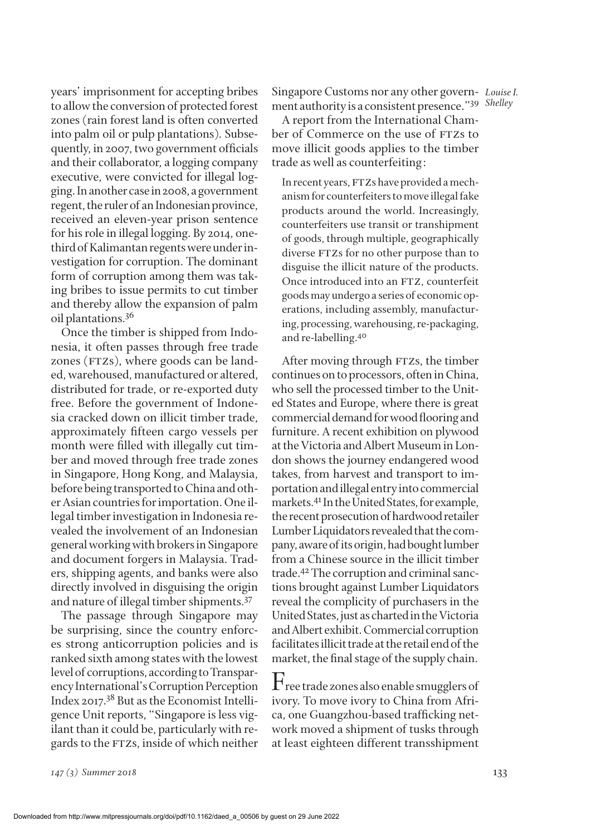years' imprisonment for accepting bribes to allow the conversion of protected forest zones (rain forest land is often converted into palm oil or pulp plantations). Subsequently, in 2007, two government officials and their collaborator, a logging company executive, were convicted for illegal logging. In another case in 2008, a government regent, the ruler of an Indonesian province, received an eleven-year prison sentence for his role in illegal logging. By 2014, onethird of Kalimantan regents were under investigation for corruption. The dominant form of corruption among them was taking bribes to issue permits to cut timber and thereby allow the expansion of palm oil plantations.36

Once the timber is shipped from Indonesia, it often passes through free trade zones (FTZs), where goods can be landed, warehoused, manufactured or altered, distributed for trade, or re-exported duty free. Before the government of Indonesia cracked down on illicit timber trade, approximately fifteen cargo vessels per month were filled with illegally cut timber and moved through free trade zones in Singapore, Hong Kong, and Malaysia, before being transported to China and other Asian countries for importation. One illegal timber investigation in Indonesia revealed the involvement of an Indonesian general working with brokers in Singapore and document forgers in Malaysia. Traders, shipping agents, and banks were also directly involved in disguising the origin and nature of illegal timber shipments.37

The passage through Singapore may be surprising, since the country enforces strong anticorruption policies and is ranked sixth among states with the lowest level of corruptions, according to Transparency International's Corruption Perception Index 2017.38 But as the Economist Intelligence Unit reports, "Singapore is less vigilant than it could be, particularly with regards to the FTZs, inside of which neither Singapore Customs nor any other govern- Louise I. ment authority is a consistent presence."<sup>39</sup> Shelley

A report from the International Chamber of Commerce on the use of FTZs to move illicit goods applies to the timber trade as well as counterfeiting:

In recent years, FTZs have provided a mechanism for counterfeiters to move illegal fake products around the world. Increasingly, counterfeiters use transit or transhipment of goods, through multiple, geographically diverse FTZs for no other purpose than to disguise the illicit nature of the products. Once introduced into an FTZ, counterfeit goods may undergo a series of economic operations, including assembly, manufacturing, processing, warehousing, re-packaging, and re-labelling.40

After moving through FTZs, the timber continues on to processors, often in China, who sell the processed timber to the United States and Europe, where there is great commercial demand for wood flooring and furniture. A recent exhibition on plywood at the Victoria and Albert Museum in London shows the journey endangered wood takes, from harvest and transport to importation and illegal entry into commercial markets.41 In the United States, for example, the recent prosecution of hardwood retailer Lumber Liquidators revealed that the company, aware of its origin, had bought lumber from a Chinese source in the illicit timber trade.42 The corruption and criminal sanctions brought against Lumber Liquidators reveal the complicity of purchasers in the United States, just as charted in the Victoria and Albert exhibit. Commercial corruption facilitates illicit trade at the retail end of the market, the final stage of the supply chain.

 $\rm{F}$ ree trade zones also enable smugglers of ivory. To move ivory to China from Africa, one Guangzhou-based trafficking network moved a shipment of tusks through at least eighteen different transshipment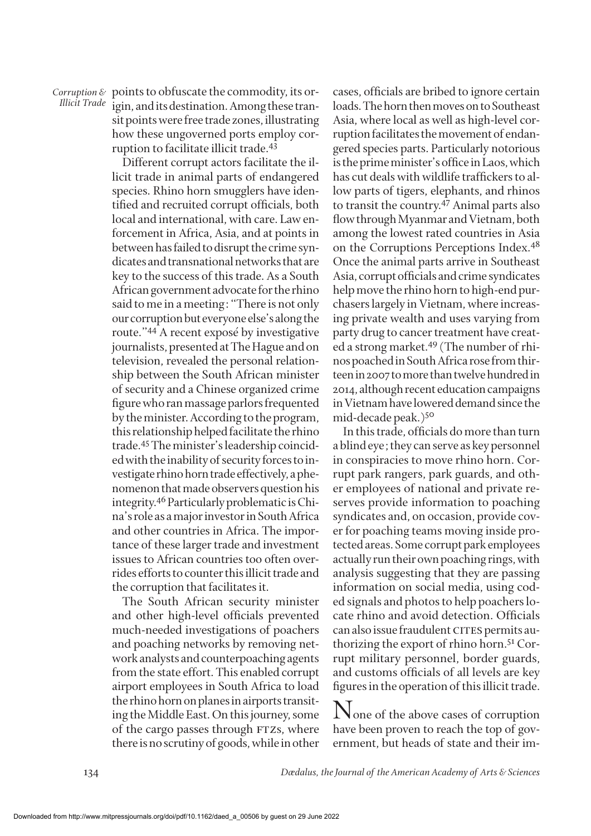*Corruption &* points to obfuscate the commodity, its or-<br>*Illicit Trade* point and its destination. Among these tranigin, and its destination. Among these transit points were free trade zones, illustrating how these ungoverned ports employ corruption to facilitate illicit trade.43

> Different corrupt actors facilitate the illicit trade in animal parts of endangered species. Rhino horn smugglers have identified and recruited corrupt officials, both local and international, with care. Law enforcement in Africa, Asia, and at points in between has failed to disrupt the crime syndicates and transnational networks that are key to the success of this trade. As a South African government advocate for the rhino said to me in a meeting: "There is not only our corruption but everyone else's along the route."44 A recent exposé by investigative journalists, presented at The Hague and on television, revealed the personal relationship between the South African minister of security and a Chinese organized crime figure who ran massage parlors frequented by the minister. According to the program, this relationship helped facilitate the rhino trade.45 The minister's leadership coincided with the inability of security forces to investigate rhino horn trade effectively, a phenomenon that made observers question his integrity.46 Particularly problematic is China's role as a major investor in South Africa and other countries in Africa. The importance of these larger trade and investment issues to African countries too often overrides efforts to counter this illicit trade and the corruption that facilitates it.

> The South African security minister and other high-level officials prevented much-needed investigations of poachers and poaching networks by removing network analysts and counterpoaching agents from the state effort. This enabled corrupt airport employees in South Africa to load the rhino horn on planes in airports transiting the Middle East. On this journey, some of the cargo passes through FTZs, where there is no scrutiny of goods, while in other

cases, officials are bribed to ignore certain loads. The horn then moves on to Southeast Asia, where local as well as high-level corruption facilitates the movement of endangered species parts. Particularly notorious is the prime minister's office in Laos, which has cut deals with wildlife traffickers to allow parts of tigers, elephants, and rhinos to transit the country.47 Animal parts also flow through Myanmar and Vietnam, both among the lowest rated countries in Asia on the Corruptions Perceptions Index.48 Once the animal parts arrive in Southeast Asia, corrupt officials and crime syndicates help move the rhino horn to high-end purchasers largely in Vietnam, where increasing private wealth and uses varying from party drug to cancer treatment have created a strong market.49 (The number of rhinos poached in South Africa rose from thirteen in 2007 to more than twelve hundred in 2014, although recent education campaigns in Vietnam have lowered demand since the mid-decade peak.)<sup>50</sup>

In this trade, officials do more than turn a blind eye; they can serve as key personnel in conspiracies to move rhino horn. Corrupt park rangers, park guards, and other employees of national and private reserves provide information to poaching syndicates and, on occasion, provide cover for poaching teams moving inside protected areas. Some corrupt park employees actually run their own poaching rings, with analysis suggesting that they are passing information on social media, using coded signals and photos to help poachers locate rhino and avoid detection. Officials can also issue fraudulent CITES permits authorizing the export of rhino horn.51 Corrupt military personnel, border guards, and customs officials of all levels are key figures in the operation of this illicit trade.

None of the above cases of corruption have been proven to reach the top of government, but heads of state and their im-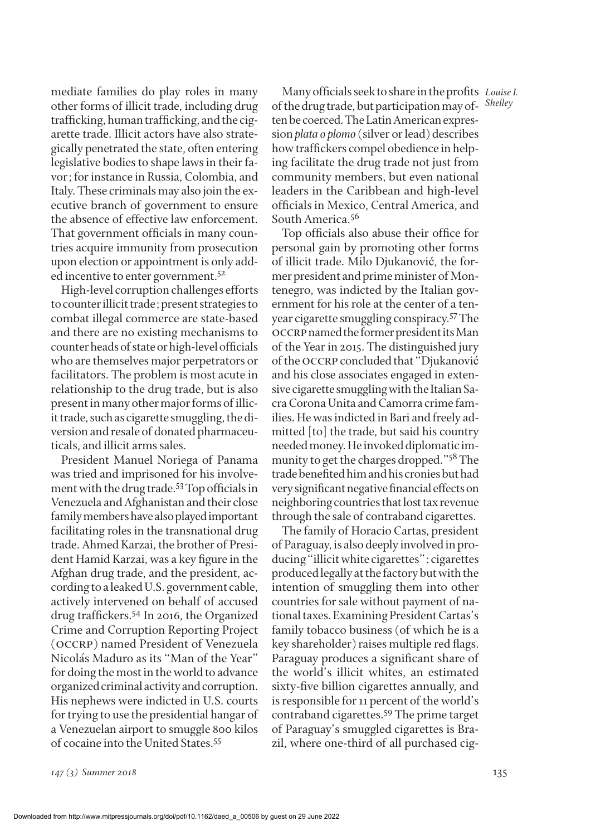mediate families do play roles in many other forms of illicit trade, including drug trafficking, human trafficking, and the cigarette trade. Illicit actors have also strategically penetrated the state, often entering legislative bodies to shape laws in their favor; for instance in Russia, Colombia, and Italy. These criminals may also join the executive branch of government to ensure the absence of effective law enforcement. That government officials in many countries acquire immunity from prosecution upon election or appointment is only added incentive to enter government.<sup>52</sup>

High-level corruption challenges efforts to counter illicit trade; present strategies to combat illegal commerce are state-based and there are no existing mechanisms to counter heads of state or high-level officials who are themselves major perpetrators or facilitators. The problem is most acute in relationship to the drug trade, but is also present in many other major forms of illicit trade, such as cigarette smuggling, the diversion and resale of donated pharmaceuticals, and illicit arms sales.

President Manuel Noriega of Panama was tried and imprisoned for his involvement with the drug trade.53 Top officials in Venezuela and Afghanistan and their close family members have also played important facilitating roles in the transnational drug trade. Ahmed Karzai, the brother of President Hamid Karzai, was a key figure in the Afghan drug trade, and the president, according to a leaked U.S. government cable, actively intervened on behalf of accused drug traffickers.54 In 2016, the Organized Crime and Corruption Reporting Project (occrp) named President of Venezuela Nicolás Maduro as its "Man of the Year" for doing the most in the world to advance organized criminal activity and corruption. His nephews were indicted in U.S. courts for trying to use the presidential hangar of a Venezuelan airport to smuggle 800 kilos of cocaine into the United States.55

Many officials seek to share in the profits Louise I. *Shelley* of the drug trade, but participation may often be coerced. The Latin American expression *plata o plomo* (silver or lead) describes how traffickers compel obedience in helping facilitate the drug trade not just from community members, but even national leaders in the Caribbean and high-level officials in Mexico, Central America, and South America.56

Top officials also abuse their office for personal gain by promoting other forms of illicit trade. Milo Djukanović, the former president and prime minister of Montenegro, was indicted by the Italian government for his role at the center of a tenyear cigarette smuggling conspiracy.57 The occrp named the former president its Man of the Year in 2015. The distinguished jury of the occrp concluded that "Djukanović and his close associates engaged in extensive cigarette smuggling with the Italian Sacra Corona Unita and Camorra crime families. He was indicted in Bari and freely admitted [to] the trade, but said his country needed money. He invoked diplomatic immunity to get the charges dropped."58 The trade benefited him and his cronies but had very significant negative financial effects on neighboring countries that lost tax revenue through the sale of contraband cigarettes.

The family of Horacio Cartas, president of Paraguay, is also deeply involved in producing "illicit white cigarettes": cigarettes produced legally at the factory but with the intention of smuggling them into other countries for sale without payment of national taxes. Examining President Cartas's family tobacco business (of which he is a key shareholder) raises multiple red flags. Paraguay produces a significant share of the world's illicit whites, an estimated sixty-five billion cigarettes annually, and is responsible for 11 percent of the world's contraband cigarettes.59 The prime target of Paraguay's smuggled cigarettes is Brazil, where one-third of all purchased cig-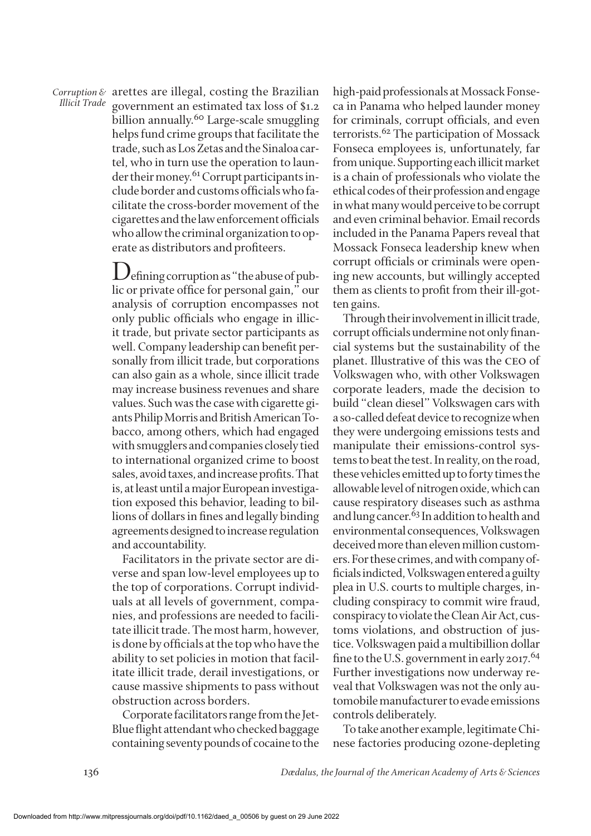*Corruption &* arettes are illegal, costing the Brazilian<br>*Illicit Trade* accomment an estimated tax loss of \$1.2 government an estimated tax loss of \$1.2 billion annually.<sup>60</sup> Large-scale smuggling helps fund crime groups that facilitate the trade, such as Los Zetas and the Sinaloa cartel, who in turn use the operation to launder their money.<sup>61</sup> Corrupt participants include border and customs officials who facilitate the cross-border movement of the cigarettes and the law enforcement officials who allow the criminal organization to operate as distributors and profiteers.

> Defining corruption as "the abuse of public or private office for personal gain," our analysis of corruption encompasses not only public officials who engage in illicit trade, but private sector participants as well. Company leadership can benefit personally from illicit trade, but corporations can also gain as a whole, since illicit trade may increase business revenues and share values. Such was the case with cigarette giants Philip Morris and British American Tobacco, among others, which had engaged with smugglers and companies closely tied to international organized crime to boost sales, avoid taxes, and increase profits. That is, at least until a major European investigation exposed this behavior, leading to billions of dollars in fines and legally binding agreements designed to increase regulation and accountability.

> Facilitators in the private sector are diverse and span low-level employees up to the top of corporations. Corrupt individuals at all levels of government, companies, and professions are needed to facilitate illicit trade. The most harm, however, is done by officials at the top who have the ability to set policies in motion that facilitate illicit trade, derail investigations, or cause massive shipments to pass without obstruction across borders.

> Corporate facilitators range from the Jet-Blue flight attendant who checked baggage containing seventy pounds of cocaine to the

high-paid professionals at Mossack Fonseca in Panama who helped launder money for criminals, corrupt officials, and even terrorists.<sup>62</sup> The participation of Mossack Fonseca employees is, unfortunately, far from unique. Supporting each illicit market is a chain of professionals who violate the ethical codes of their profession and engage in what many would perceive to be corrupt and even criminal behavior. Email records included in the Panama Papers reveal that Mossack Fonseca leadership knew when corrupt officials or criminals were opening new accounts, but willingly accepted them as clients to profit from their ill-gotten gains.

Through their involvement in illicit trade, corrupt officials undermine not only financial systems but the sustainability of the planet. Illustrative of this was the ceo of Volkswagen who, with other Volkswagen corporate leaders, made the decision to build "clean diesel" Volkswagen cars with a so-called defeat device to recognize when they were undergoing emissions tests and manipulate their emissions-control systems to beat the test. In reality, on the road, these vehicles emitted up to forty times the allowable level of nitrogen oxide, which can cause respiratory diseases such as asthma and lung cancer.<sup>63</sup> In addition to health and environmental consequences, Volkswagen deceived more than eleven million customers. For these crimes, and with company officials indicted, Volkswagen entered a guilty plea in U.S. courts to multiple charges, including conspiracy to commit wire fraud, conspiracy to violate the [Clean Air Act,](http://topics.nytimes.com/top/reference/timestopics/subjects/c/clean_air_act/index.html?inline=nyt-classifier) customs violations, and obstruction of justice. Volkswagen paid a multibillion dollar fine to the U.S. government in early 2017.<sup>64</sup> Further investigations now underway reveal that Volkswagen was not the only automobile manufacturer to evade emissions controls deliberately.

To take another example, legitimate Chinese factories producing ozone-depleting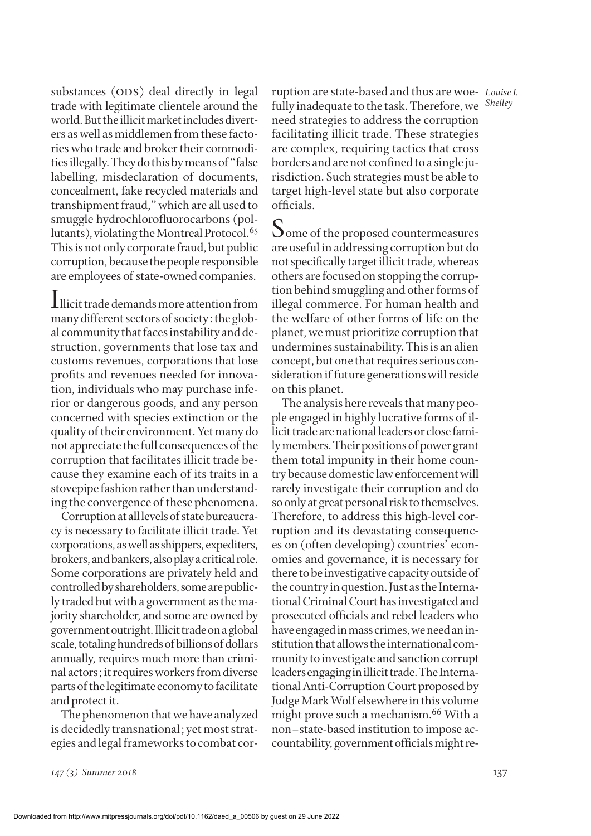substances (ODS) deal directly in legal trade with legitimate clientele around the world. But the illicit market includes diverters as well as middlemen from these factories who trade and broker their commodities illegally. They do this by means of "false labelling, misdeclaration of documents, concealment, fake recycled materials and transhipment fraud," which are all used to smuggle hydrochlorofluorocarbons (pollutants), violating the Montreal Protocol.<sup>65</sup> This is not only corporate fraud, but public corruption, because the people responsible are employees of state-owned companies.

Illicit trade demands more attention from many different sectors of society: the global community that faces instability and destruction, governments that lose tax and customs revenues, corporations that lose profits and revenues needed for innovation, individuals who may purchase inferior or dangerous goods, and any person concerned with species extinction or the quality of their environment. Yet many do not appreciate the full consequences of the corruption that facilitates illicit trade because they examine each of its traits in a stovepipe fashion rather than understanding the convergence of these phenomena.

Corruption at all levels of state bureaucracy is necessary to facilitate illicit trade. Yet corporations, as well as shippers, expediters, brokers, and bankers, also play a critical role. Some corporations are privately held and controlled by shareholders, some are publicly traded but with a government as the majority shareholder, and some are owned by government outright. Illicit trade on a global scale, totaling hundreds of billions of dollars annually, requires much more than criminal actors; it requires workers from diverse parts of the legitimate economy to facilitate and protect it.

The phenomenon that we have analyzed is decidedly transnational; yet most strategies and legal frameworks to combat cor-

*Louise I.* ruption are state-based and thus are woe-*Shelley* fully inadequate to the task. Therefore, we need strategies to address the corruption facilitating illicit trade. These strategies are complex, requiring tactics that cross borders and are not confined to a single jurisdiction. Such strategies must be able to target high-level state but also corporate officials.

Some of the proposed countermeasures are useful in addressing corruption but do not specifically target illicit trade, whereas others are focused on stopping the corruption behind smuggling and other forms of illegal commerce. For human health and the welfare of other forms of life on the planet, we must prioritize corruption that undermines sustainability. This is an alien concept, but one that requires serious consideration if future generations will reside on this planet.

The analysis here reveals that many people engaged in highly lucrative forms of illicit trade are national leaders or close family members. Their positions of power grant them total impunity in their home country because domestic law enforcement will rarely investigate their corruption and do so only at great personal risk to themselves. Therefore, to address this high-level corruption and its devastating consequences on (often developing) countries' economies and governance, it is necessary for there to be investigative capacity outside of the country in question. Just as the International Criminal Court has investigated and prosecuted officials and rebel leaders who have engaged in mass crimes, we need an institution that allows the international community to investigate and sanction corrupt leaders engaging in illicit trade. The International Anti-Corruption Court proposed by Judge Mark Wolf elsewhere in this volume might prove such a mechanism.<sup>66</sup> With a non–state-based institution to impose accountability, government officials might re-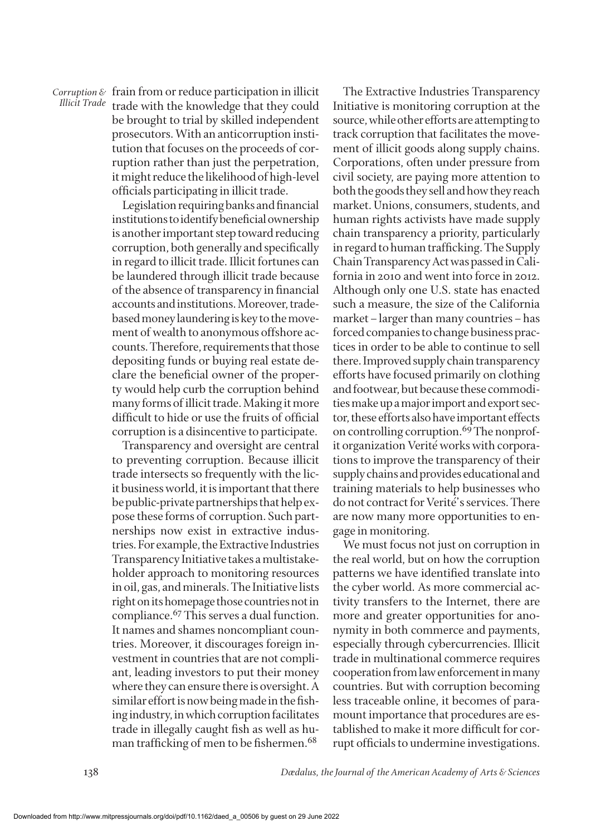*Corruption & IIIicit Trade* frain from or reduce participation in illicit<br>Illicit Trade trade with the knowledge that they could be brought to trial by skilled independent prosecutors. With an anticorruption institution that focuses on the proceeds of corruption rather than just the perpetration, it might reduce the likelihood of high-level officials participating in illicit trade.

> Legislation requiring banks and financial institutions to identify beneficial ownership is another important step toward reducing corruption, both generally and specifically in regard to illicit trade. Illicit fortunes can be laundered through illicit trade because of the absence of transparency in financial accounts and institutions. Moreover, tradebased money laundering is key to the movement of wealth to anonymous offshore accounts. Therefore, requirements that those depositing funds or buying real estate declare the beneficial owner of the property would help curb the corruption behind many forms of illicit trade. Making it more difficult to hide or use the fruits of official corruption is a disincentive to participate.

> Transparency and oversight are central to preventing corruption. Because illicit trade intersects so frequently with the licit business world, it is important that there be public-private partnerships that help expose these forms of corruption. Such partnerships now exist in extractive industries. For example, the Extractive Industries Transparency Initiative takes a multistakeholder approach to monitoring resources in oil, gas, and minerals. The Initiative lists right on its homepage those countries not in compliance.<sup>67</sup> This serves a dual function. It names and shames noncompliant countries. Moreover, it discourages foreign investment in countries that are not compliant, leading investors to put their money where they can ensure there is oversight. A similar effort is now being made in the fishing industry, in which corruption facilitates trade in illegally caught fish as well as human trafficking of men to be fishermen.<sup>68</sup>

The Extractive Industries Transparency Initiative is monitoring corruption at the source, while other efforts are attempting to track corruption that facilitates the movement of illicit goods along supply chains. Corporations, often under pressure from civil society, are paying more attention to both the goods they sell and how they reach market. Unions, consumers, students, and human rights activists have made supply chain transparency a priority, particularly in regard to human trafficking. The Supply Chain Transparency Act was passed in California in 2010 and went into force in 2012. Although only one U.S. state has enacted such a measure, the size of the California market–larger than many countries–has forced companies to change business practices in order to be able to continue to sell there. Improved supply chain transparency efforts have focused primarily on clothing and footwear, but because these commodities make up a major import and export sector, these efforts also have important effects on controlling corruption.<sup>69</sup> The nonprofit organization Verité works with corporations to improve the transparency of their supply chains and provides educational and training materials to help businesses who do not contract for Verité's services. There are now many more opportunities to engage in monitoring.

We must focus not just on corruption in the real world, but on how the corruption patterns we have identified translate into the cyber world. As more commercial activity transfers to the Internet, there are more and greater opportunities for anonymity in both commerce and payments, especially through cybercurrencies. Illicit trade in multinational commerce requires cooperation from law enforcement in many countries. But with corruption becoming less traceable online, it becomes of paramount importance that procedures are established to make it more difficult for corrupt officials to undermine investigations.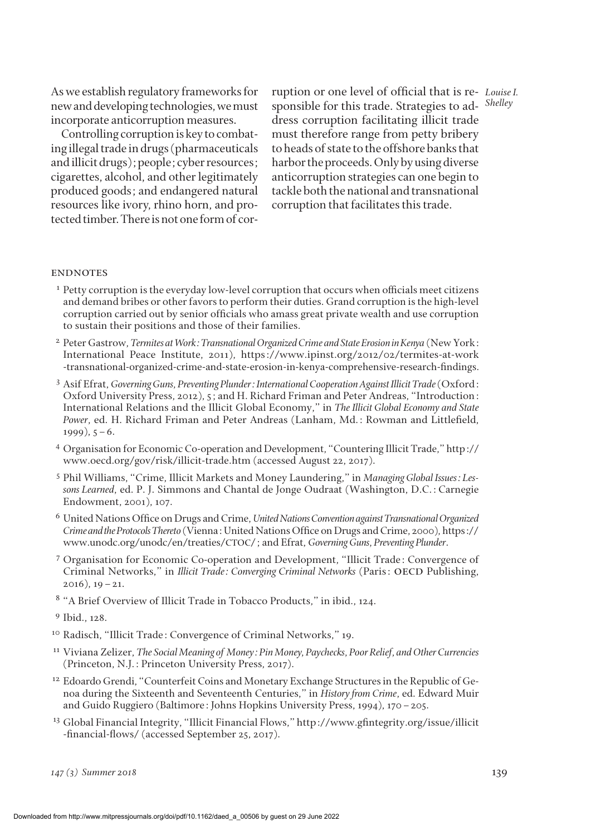As we establish regulatory frameworks for new and developing technologies, we must incorporate anticorruption measures.

Controlling corruption is key to combating illegal trade in drugs (pharmaceuticals and illicit drugs); people; cyber resources; cigarettes, alcohol, and other legitimately produced goods; and endangered natural resources like ivory, rhino horn, and protected timber. There is not one form of cor-

ruption or one level of official that is re- Louise I. sponsible for this trade. Strategies to ad- Shelley dress corruption facilitating illicit trade must therefore range from petty bribery to heads of state to the offshore banks that harbor the proceeds. Only by using diverse anticorruption strategies can one begin to tackle both the national and transnational corruption that facilitates this trade.

#### **ENDNOTES**

- $1$  Petty corruption is the everyday low-level corruption that occurs when officials meet citizens and demand bribes or other favors to perform their duties. Grand corruption is the high-level corruption carried out by senior officials who amass great private wealth and use corruption to sustain their positions and those of their families.
- <sup>2</sup> Peter Gastrow, *Termites at Work: Transnational Organized Crime and State Erosion in Kenya* (New York: International Peace Institute, 2011), https://www.ipinst.org/2012/02/termites-at-work -transnational-organized-crime-and-state-erosion-in-kenya-comprehensive-research-findings.
- <sup>3</sup> Asif Efrat, *Governing Guns, Preventing Plunder: International Cooperation Against Illicit Trade* (Oxford: Oxford University Press, 2012), 5; and H. Richard Friman and Peter Andreas, "Introduction: International Relations and the Illicit Global Economy," in *The Illicit Global Economy and State Power*, ed. H. Richard Friman and Peter Andreas (Lanham, Md.: Rowman and Littlefield,  $1999$ ),  $5-6$ .
- <sup>4</sup> Organisation for Economic Co-operation and Development, "Countering Illicit Trade," [http://](http://www.oecd.org/gov/risk/illicit-trade.htm) [www.oecd.org/gov/risk/illicit-trade.htm](http://www.oecd.org/gov/risk/illicit-trade.htm) (accessed August 22, 2017).
- <sup>5</sup> Phil Williams, "Crime, Illicit Markets and Money Laundering," in *Managing Global Issues: Lessons Learned*, ed. P. J. Simmons and Chantal de Jonge Oudraat (Washington, D.C.: Carnegie Endowment, 2001), 107.
- <sup>6</sup> United Nations Office on Drugs and Crime, *United Nations Convention against Transnational Organized Crime and the Protocols Thereto* (Vienna: United Nations Office on Drugs and Crime, 2000), [https://](https://www.unodc.org/unodc/en/treaties/CTOC/) [www.unodc.org/unodc/en/treaties/](https://www.unodc.org/unodc/en/treaties/CTOC/)CTOC/; and Efrat, *Governing Guns, Preventing Plunder*.
- <sup>7</sup> Organisation for Economic Co-operation and Development, "Illicit Trade: Convergence of Criminal Networks," in *Illicit Trade: Converging Criminal Networks* (Paris: oecd Publishing,  $2016$ ,  $19-21$ .
- <sup>8</sup> "A Brief Overview of Illicit Trade in Tobacco Products," in ibid., 124.

- <sup>10</sup> Radisch, "Illicit Trade: Convergence of Criminal Networks," 19.
- <sup>11</sup> Viviana Zelizer, *The Social Meaning of Money: Pin Money, Paychecks, Poor Relief, and Other Currencies* (Princeton, N.J.: Princeton University Press, 2017).
- <sup>12</sup> Edoardo Grendi, "Counterfeit Coins and Monetary Exchange Structures in the Republic of Genoa during the Sixteenth and Seventeenth Centuries," in *History from Crime*, ed. Edward Muir and Guido Ruggiero (Baltimore: Johns Hopkins University Press, 1994), 170–205.
- <sup>13</sup> Global Financial Integrity, "Illicit Financial Flows," [http://www.gfintegrity.org/issue/illicit](http://www.gfintegrity.org/issue/illicit-financial-flows/) [-financial-flows/](http://www.gfintegrity.org/issue/illicit-financial-flows/) (accessed September 25, 2017).

<sup>9</sup> Ibid., 128.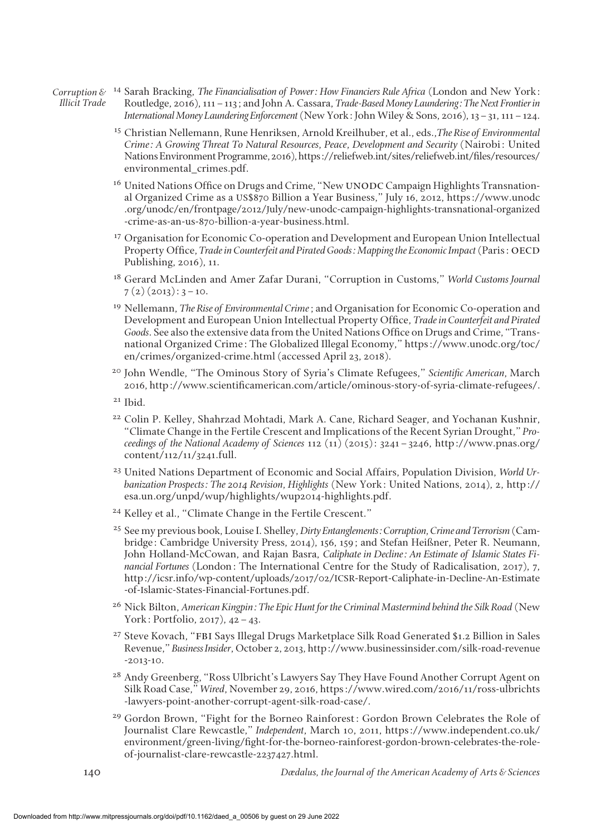*Corruption & Illicit Trade* <sup>14</sup> Sarah Bracking, *The Financialisation of Power: How Financiers Rule Africa* (London and New York: Routledge, 2016), 111–113; and John A. Cassara, *Trade-Based Money Laundering: The Next Frontier in International Money Laundering Enforcement* (New York: John Wiley & Sons, 2016), 13–31, 111–124.

- <sup>15</sup> Christian Nellemann, Rune Henriksen, Arnold Kreilhuber, et al., eds.,*The Rise of Environmental*  Crime: A Growing Threat To Natural Resources, Peace, Development and Security (Nairobi: United Nations Environment Programme, 2016), https://reliefweb.int/sites/reliefweb.int/files/resources/ environmental\_crimes.pdf.
- <sup>16</sup> United Nations Office on Drugs and Crime, "New UNODC Campaign Highlights Transnational Organized Crime as a US\$870 Billion a Year Business," July 16, 2012, https://www.unodc .org/unodc/en/frontpage/2012/July/new-unodc-campaign-highlights-transnational-organized -crime-as-an-us-870-billion-a-year-business.html.
- <sup>17</sup> Organisation for Economic Co-operation and Development and European Union Intellectual Property Office, *Trade in Counterfeit and Pirated Goods: Mapping the Economic Impact* (Paris: OECD Publishing, 2016), 11.
- <sup>18</sup> Gerard McLinden and Amer Zafar Durani, "Corruption in Customs," *World Customs Journal*  $7(2)(2013): 3-10.$
- <sup>19</sup> Nellemann, *The Rise of Environmental Crime*; and Organisation for Economic Co-operation and Development and European Union Intellectual Property Office, *Trade in Counterfeit and Pirated Goods*. See also the extensive data from the United Nations Office on Drugs and Crime, "Transnational Organized Crime: The Globalized Illegal Economy," https://www.unodc.org/toc/ en/crimes/organized-crime.html (accessed April 23, 2018).
- <sup>20</sup> John Wendle, "The Ominous Story of Syria's Climate Refugees," *Scientific American*, March 2016,<http://www.scientificamerican.com/article/ominous-story-of-syria-climate-refugees/>.
- <sup>21</sup> Ibid.
- <sup>22</sup> Colin P. Kelley, Shahrzad Mohtadi, Mark A. Cane, Richard Seager, and Yochanan Kushnir, "Climate Change in the Fertile Crescent and Implications of the Recent Syrian Drought," *Proceedings of the National Academy of Sciences* 112 (11) (2015): 3241–3246, [http://www.pnas.org/](http://www.pnas.org/content/112/11/3241.full) [content/112/11/3241.full.](http://www.pnas.org/content/112/11/3241.full)
- <sup>23</sup> United Nations Department of Economic and Social Affairs, Population Division, *World Urbanization Prospects: The 2014 Revision, Highlights* (New York: United Nations, 2014), 2, [http://](http://esa.un.org/unpd/wup/highlights/wup2014-highlights.pdf) [esa.un.org/unpd/wup/highlights/wup2014-highlights.pdf](http://esa.un.org/unpd/wup/highlights/wup2014-highlights.pdf).
- <sup>24</sup> Kelley et al., "Climate Change in the Fertile Crescent."
- <sup>25</sup> See my previous book, Louise I. Shelley, *Dirty Entanglements: Corruption, Crime and Terrorism* (Cambridge: Cambridge University Press, 2014), 156, 159; and Stefan Heißner, Peter R. Neumann, John Holland-McCowan, and Rajan Basra, *Caliphate in Decline: An Estimate of Islamic States Financial Fortunes* (London: The International Centre for the Study of Radicalisation, 2017), 7, http://icsr.info/wp-content/uploads/2017/02/ICSR-Report-Caliphate-in-Decline-An-Estimate -of-Islamic-States-Financial-Fortunes.pdf.
- <sup>26</sup> Nick Bilton, *American Kingpin: The Epic Hunt for the Criminal Mastermind behind the Silk Road* (New York: Portfolio, 2017), 42–43.
- <sup>27</sup> Steve Kovach, "FBI Says Illegal Drugs Marketplace Silk Road Generated \$1.2 Billion in Sales Revenue," *Business Insider*, October 2, 2013, http://www.businessinsider.com/silk-road-revenue  $-2.013-10.$
- <sup>28</sup> Andy Greenberg, "Ross Ulbricht's Lawyers Say They Have Found Another Corrupt Agent on Silk Road Case," *Wired*, November 29, 2016, https://www.wired.com/2016/11/ross-ulbrichts -lawyers-point-another-corrupt-agent-silk-road-case/.
- <sup>29</sup> Gordon Brown, "Fight for the Borneo Rainforest: Gordon Brown Celebrates the Role of Journalist Clare Rewcastle," *Independent*, March 10, 2011, [https://www.independent.co.uk/](https://www.independent.co.uk/environment/green-living/fight-for-the-borneo-rainforest-gordon-brown-celebrates-the-role-of-journalist-clare-rewcastle-2237427.html) [environment/green-living/fight-for-the-borneo-rainforest-gordon-brown-celebrates-the-role](https://www.independent.co.uk/environment/green-living/fight-for-the-borneo-rainforest-gordon-brown-celebrates-the-role-of-journalist-clare-rewcastle-2237427.html)[of-journalist-clare-rewcastle-2237427.html.](https://www.independent.co.uk/environment/green-living/fight-for-the-borneo-rainforest-gordon-brown-celebrates-the-role-of-journalist-clare-rewcastle-2237427.html)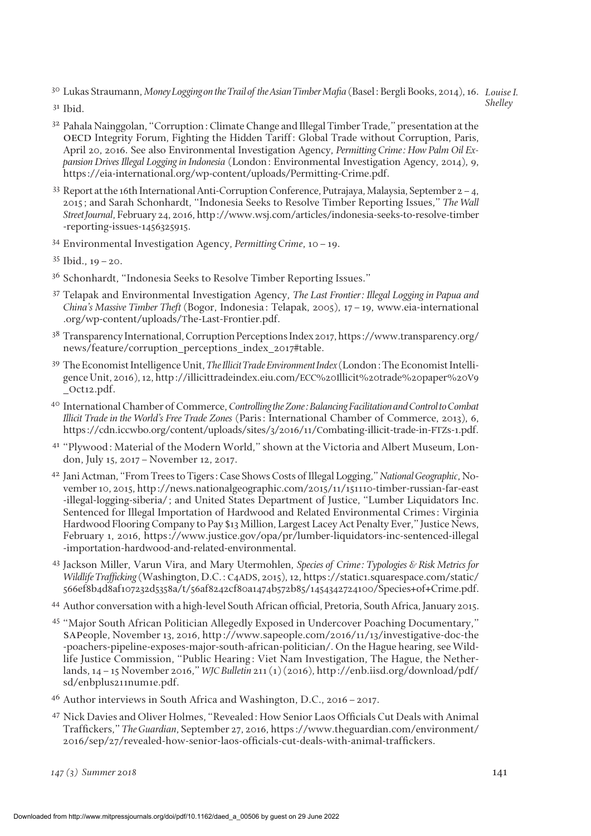<sup>30</sup> Lukas Straumann, *Money Logging on the Trail of the Asian Timber Mafia* (Basel: Bergli Books, 2014), 16. Louise I.

*Shelley*

- <sup>31</sup> Ibid.
- $32$  Pahala Nainggolan, "Corruption: Climate Change and Illegal Timber Trade," presentation at the oecd Integrity Forum, Fighting the Hidden Tariff: Global Trade without Corruption, Paris, April 20, 2016. See also Environmental Investigation Agency, *Permitting Crime: How Palm Oil Expansion Drives Illegal Logging in Indonesia* (London: Environmental Investigation Agency, 2014), 9, [https://eia-international.org/wp-content/uploads/Permitting-Crime.pdf.](https://eia-international.org/wp-content/uploads/Permitting-Crime.pdf)
- <sup>33</sup> Report at the 16th International Anti-Corruption Conference, Putrajaya, Malaysia, September 2–4, 2015; and Sarah Schonhardt, "Indonesia Seeks to Resolve Timber Reporting Issues," *The Wall Street Journal*, February 24, 2016, [http://www.wsj.com/articles/indonesia-seeks-to-resolve-timber](http://www.wsj.com/articles/indonesia-seeks-to-resolve-timber-reporting-issues-1456325915) [-reporting-issues-1456325915.](http://www.wsj.com/articles/indonesia-seeks-to-resolve-timber-reporting-issues-1456325915)
- <sup>34</sup> Environmental Investigation Agency, *Permitting Crime*, 10–19.
- <sup>35</sup> Ibid., 19–20.
- <sup>36</sup> Schonhardt, "Indonesia Seeks to Resolve Timber Reporting Issues."
- <sup>37</sup> Telapak and Environmental Investigation Agency, *The Last Frontier: Illegal Logging in Papua and China's Massive Timber Theft* (Bogor, Indonesia: Telapak, 2005), 17–19, [www.eia-international](http://www.eia-international.org/wp-content/uploads/The-Last-Frontier.pdf) [.org/wp-content/uploads/](http://www.eia-international.org/wp-content/uploads/The-Last-Frontier.pdf)The-Last-Frontier.pdf.
- <sup>38</sup> Transparency International, Corruption Perceptions Index 2017, https://www.transparency.org/ news/feature/corruption\_perceptions\_index\_2017#table.
- <sup>39</sup> The Economist Intelligence Unit, *The Illicit Trade Environment Index* (London: The Economist Intelligence Unit, 2016), 12, http://illicittradeindex.eiu.com/ECC%20Illicit%20trade%20paper%20V9 \_Oct12.pdf.
- <sup>40</sup> International Chamber of Commerce, *Controlling the Zone: Balancing Facilitation and Control to Combat Illicit Trade in the World's Free Trade Zones* (Paris: International Chamber of Commerce, 2013), 6, https://cdn.iccwbo.org/content/uploads/sites/3/2016/11/Combating-illicit-trade-in-FTZs-1.pdf.
- <sup>41</sup> "Plywood: Material of the Modern World," shown at the Victoria and Albert Museum, London, July 15, 2017–November 12, 2017.
- <sup>42</sup> Jani Actman, "From Trees to Tigers: Case Shows Costs of Illegal Logging," *National Geographic*, November 10, 2015, [http://news.nationalgeographic.com/2015/11/151110-timber-russian-far-east](http://news.nationalgeographic.com/2015/11/151110-timber-russian-far-east-illegal-logging-siberia/) [-illegal-logging-siberia/;](http://news.nationalgeographic.com/2015/11/151110-timber-russian-far-east-illegal-logging-siberia/) and United States Department of Justice, "Lumber Liquidators Inc. Sentenced for Illegal Importation of Hardwood and Related Environmental Crimes: Virginia Hardwood Flooring Company to Pay \$13 Million, Largest Lacey Act Penalty Ever," Justice News, February 1, 2016, [https://www.justice.gov/opa/pr/lumber-liquidators-inc-sentenced-illegal](https://www.justice.gov/opa/pr/lumber-liquidators-inc-sentenced-illegal-importation-hardwood-and-related-environmental) [-importation-hardwood-and-related-environmental](https://www.justice.gov/opa/pr/lumber-liquidators-inc-sentenced-illegal-importation-hardwood-and-related-environmental).
- <sup>43</sup> Jackson Miller, Varun Vira, and Mary Utermohlen, *Species of Crime: Typologies & Risk Metrics for Wildlife Trafficking* (Washington, D.C.: C4ADS, 2015), 12, https://static1.squarespace.com/static/ 566ef8b4d8af107232d5358a/t/56af8242cf80a1474b572b85/1454342724100/Species+of+Crime.pdf.
- <sup>44</sup> Author conversation with a high-level South African official, Pretoria, South Africa, January 2015.
- <sup>45</sup> "Major South African Politician Allegedly Exposed in Undercover Poaching Documentary," sapeople, November 13, 2016, [http://www.sapeople.com/2016/11/13/investigative-doc-the](http://www.sapeople.com/2016/11/13/investigative-doc-the-poachers-pipeline-exposes-major-south-african-politician/) [-poachers-pipeline-exposes-major-south-african-politician/](http://www.sapeople.com/2016/11/13/investigative-doc-the-poachers-pipeline-exposes-major-south-african-politician/). On the Hague hearing, see Wildlife Justice Commission, "Public Hearing: Viet Nam Investigation, The Hague, the Netherlands, 14–15 November 2016," *WJC Bulletin* 211 (1) (2016), http://enb.iisd.org/download/pdf/ sd/enbplus211num1e.pdf.
- <sup>46</sup> Author interviews in South Africa and Washington, D.C., 2016–2017.
- <sup>47</sup> Nick Davies and Oliver Holmes, "Revealed: How Senior Laos Officials Cut Deals with Animal Traffickers," *The Guardian*, September 27, 2016, https://www.theguardian.com/environment/ 2016/sep/27/revealed-how-senior-laos-officials-cut-deals-with-animal-traffickers.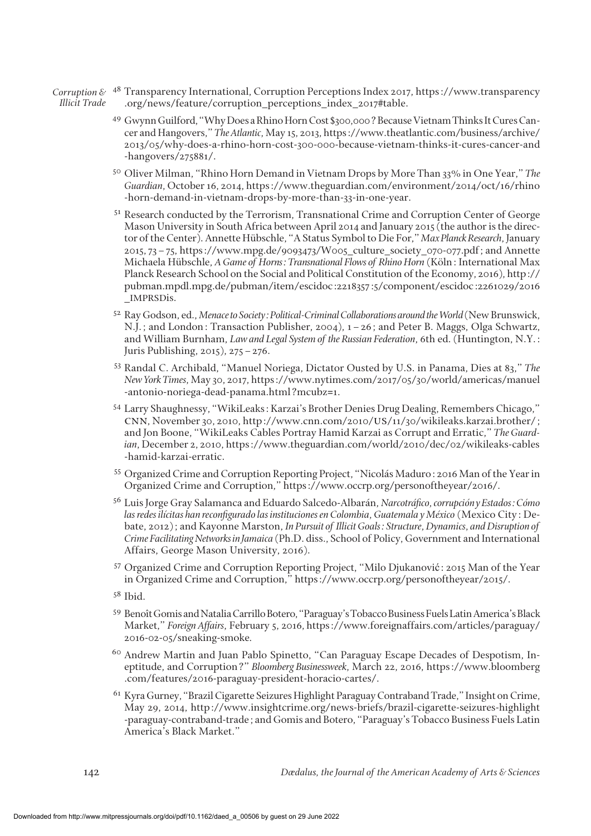- *Corruption &* <sup>48</sup> Transparency International, Corruption Perceptions Index 2017, https://www.transparency *Illicit Trade* .org/news/feature/corruption\_perceptions\_index\_2017#table.
	- <sup>49</sup> Gwynn Guilford, "Why Does a Rhino Horn Cost \$300,000? Because Vietnam Thinks It Cures Cancer and Hangovers," *The Atlantic*, May 15, 2013, [https://www.theatlantic.com/business/archive/](https://www.theatlantic.com/business/archive/2013/05/why-does-a-rhino-horn-cost-300-000-because-vietnam-thinks-it-cures-cancer-and-hangovers/275881/) [2013/05/why-does-a-rhino-horn-cost-300-000-because-vietnam-thinks-it-cures-cancer-and](https://www.theatlantic.com/business/archive/2013/05/why-does-a-rhino-horn-cost-300-000-because-vietnam-thinks-it-cures-cancer-and-hangovers/275881/) [-hangovers/275881/](https://www.theatlantic.com/business/archive/2013/05/why-does-a-rhino-horn-cost-300-000-because-vietnam-thinks-it-cures-cancer-and-hangovers/275881/).
	- <sup>50</sup> Oliver Milman, "Rhino Horn Demand in Vietnam Drops by More Than 33% in One Year," *The Guardian*, October 16, 2014, [https://www.theguardian.com/environment/2014/oct/16/rhino](https://www.theguardian.com/environment/2014/oct/16/rhino-horn-demand-in-vietnam-drops-by-more-than-33-in-one-year) [-horn-demand-in-vietnam-drops-by-more-than-33-in-one-year.](https://www.theguardian.com/environment/2014/oct/16/rhino-horn-demand-in-vietnam-drops-by-more-than-33-in-one-year)
	- <sup>51</sup> Research conducted by the Terrorism, Transnational Crime and Corruption Center of George Mason University in South Africa between April 2014 and January 2015 (the author is the director of the Center). Annette Hübschle, "A Status Symbol to Die For," *Max Planck Research*, January 2015, 73–75, [https://www.mpg.de/9093473/W005\\_culture\\_society\\_070-077.pdf;](https://www.mpg.de/9093473/W005_culture_society_070-077.pdf) and Annette Michaela Hübschle, *A Game of Horns: Transnational Flows of Rhino Horn* (Köln: International Max Planck Research School on the Social and Political Constitution of the Economy, 2016), [http://](http://pubman.mpdl.mpg.de/pubman/item/escidoc:2218357:5/component/escidoc:2261029/2016_IMPRSDis) [pubman.mpdl.mpg.de/pubman/item/escidoc:2218357:5/component/escidoc:2261029/2016](http://pubman.mpdl.mpg.de/pubman/item/escidoc:2218357:5/component/escidoc:2261029/2016_IMPRSDis) \_[IMPRSD](http://pubman.mpdl.mpg.de/pubman/item/escidoc:2218357:5/component/escidoc:2261029/2016_IMPRSDis)is.
	- 52 Ray Godson, ed., *Menace to Society: Political-Criminal Collaborations around the World* (New Brunswick, N.J.; and London: Transaction Publisher, 2004), 1–26; and Peter B. Maggs, Olga Schwartz, and William Burnham, *Law and Legal System of the Russian Federation*, 6th ed. (Huntington, N.Y.: Juris Publishing, 2015), 275–276.
	- <sup>53</sup> Randal C. Archibald, "Manuel Noriega, Dictator Ousted by U.S. in Panama, Dies at 83," *The New York Times*, May 30, 2017, https://www.nytimes.com/2017/05/30/world/americas/manuel -antonio-noriega-dead-panama.html?mcubz=1.
	- <sup>54</sup> Larry Shaughnessy, "WikiLeaks: Karzai's Brother Denies Drug Dealing, Remembers Chicago," cnn, November 30, 2010, http://www.cnn.com/2010/us[/11/30/wikileaks.karzai.brother/](http://www.cnn.com/2010/US/11/30/wikileaks.karzai.brother/); and Jon Boone, "WikiLeaks Cables Portray Hamid Karzai as Corrupt and Erratic," *The Guardian*, December 2, 2010, https://www.theguardian.com/world/2010/dec/02/wikileaks-cables -hamid-karzai-erratic.
	- <sup>55</sup> Organized Crime and Corruption Reporting Project, "Nicolás Maduro: 2016 Man of the Year in Organized Crime and Corruption," https://www.occrp.org/personoftheyear/2016/.
	- <sup>56</sup> Luis Jorge Gray Salamanca and Eduardo Salcedo-Albarán, *Narcotráfico, corrupción y Estados: Cómo las redes ilícitas han reconfigurado las instituciones en Colombia, Guatemala y México* (Mexico City: Debate, 2012); and Kayonne Marston, *In Pursuit of Illicit Goals: Structure, Dynamics, and Disruption of Crime Facilitating Networks in Jamaica* (Ph.D. diss., School of Policy, Government and International Affairs, George Mason University, 2016).
	- <sup>57</sup> Organized Crime and Corruption Reporting Project, "Milo Djukanović: 2015 Man of the Year in Organized Crime and Corruption," [https://www.occrp.org/personoftheyear/2015/.](https://www.occrp.org/personoftheyear/2015/)
	- <sup>58</sup> Ibid.
	- <sup>59</sup> Benoît Gomis and Natalia Carrillo Botero, "Paraguay's Tobacco Business Fuels Latin America's Black Market," *Foreign Affairs*, February 5, 2016, [https://www.foreignaffairs.com/articles/paraguay/](https://www.foreignaffairs.com/articles/paraguay/2016-02-05/sneaking-smoke) [2016-02-05/sneaking-smoke](https://www.foreignaffairs.com/articles/paraguay/2016-02-05/sneaking-smoke)*.*
	- <sup>60</sup> Andrew Martin and Juan Pablo Spinetto, "Can Paraguay Escape Decades of Despotism, Ineptitude, and Corruption?" *Bloomberg Businessweek*, March 22, 2016, https://www.bloomberg .com/features/2016-paraguay-president-horacio-cartes/.
	- <sup>61</sup> Kyra Gurney, "Brazil Cigarette Seizures Highlight Paraguay Contraband Trade," Insight on Crime, May 29, 2014, [http://www.insightcrime.org/news-briefs/brazil-cigarette-seizures-highlight](http://www.insightcrime.org/news-briefs/brazil-cigarette-seizures-highlight-paraguay-contraband-trade) [-paraguay-contraband-trade;](http://www.insightcrime.org/news-briefs/brazil-cigarette-seizures-highlight-paraguay-contraband-trade) and Gomis and Botero, "Paraguay's Tobacco Business Fuels Latin America's Black Market."